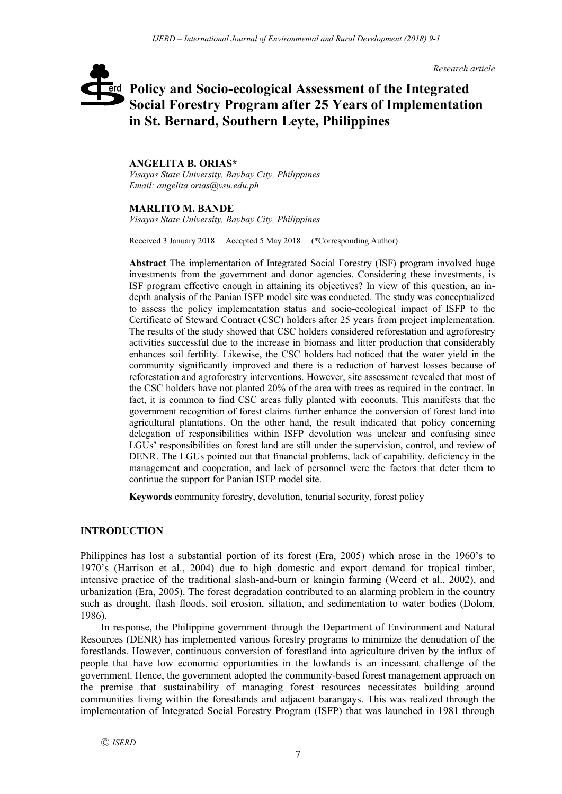*Research article*

# **Policy and Socio-ecological Assessment of the Integrated**  erd **Social Forestry Program after 25 Years of Implementation in St. Bernard, Southern Leyte, Philippines**

# **ANGELITA B. ORIAS\***

*Visayas State University, Baybay City, Philippines Email: angelita.orias@vsu.edu.ph*

# **MARLITO M. BANDE**

*Visayas State University, Baybay City, Philippines*

Received 3 January 2018 Accepted 5 May 2018 (\*Corresponding Author)

**Abstract** The implementation of Integrated Social Forestry (ISF) program involved huge investments from the government and donor agencies. Considering these investments, is ISF program effective enough in attaining its objectives? In view of this question, an indepth analysis of the Panian ISFP model site was conducted. The study was conceptualized to assess the policy implementation status and socio-ecological impact of ISFP to the Certificate of Steward Contract (CSC) holders after 25 years from project implementation. The results of the study showed that CSC holders considered reforestation and agroforestry activities successful due to the increase in biomass and litter production that considerably enhances soil fertility. Likewise, the CSC holders had noticed that the water yield in the community significantly improved and there is a reduction of harvest losses because of reforestation and agroforestry interventions. However, site assessment revealed that most of the CSC holders have not planted 20% of the area with trees as required in the contract. In fact, it is common to find CSC areas fully planted with coconuts. This manifests that the government recognition of forest claims further enhance the conversion of forest land into agricultural plantations. On the other hand, the result indicated that policy concerning delegation of responsibilities within ISFP devolution was unclear and confusing since LGUs' responsibilities on forest land are still under the supervision, control, and review of DENR. The LGUs pointed out that financial problems, lack of capability, deficiency in the management and cooperation, and lack of personnel were the factors that deter them to continue the support for Panian ISFP model site.

**Keywords** community forestry, devolution, tenurial security, forest policy

# **INTRODUCTION**

Philippines has lost a substantial portion of its forest (Era, 2005) which arose in the 1960's to 1970's (Harrison et al., 2004) due to high domestic and export demand for tropical timber, intensive practice of the traditional slash-and-burn or kaingin farming (Weerd et al., 2002), and urbanization (Era, 2005). The forest degradation contributed to an alarming problem in the country such as drought, flash floods, soil erosion, siltation, and sedimentation to water bodies (Dolom, 1986).

In response, the Philippine government through the Department of Environment and Natural Resources (DENR) has implemented various forestry programs to minimize the denudation of the forestlands. However, continuous conversion of forestland into agriculture driven by the influx of people that have low economic opportunities in the lowlands is an incessant challenge of the government. Hence, the government adopted the community-based forest management approach on the premise that sustainability of managing forest resources necessitates building around communities living within the forestlands and adjacent barangays. This was realized through the implementation of Integrated Social Forestry Program (ISFP) that was launched in 1981 through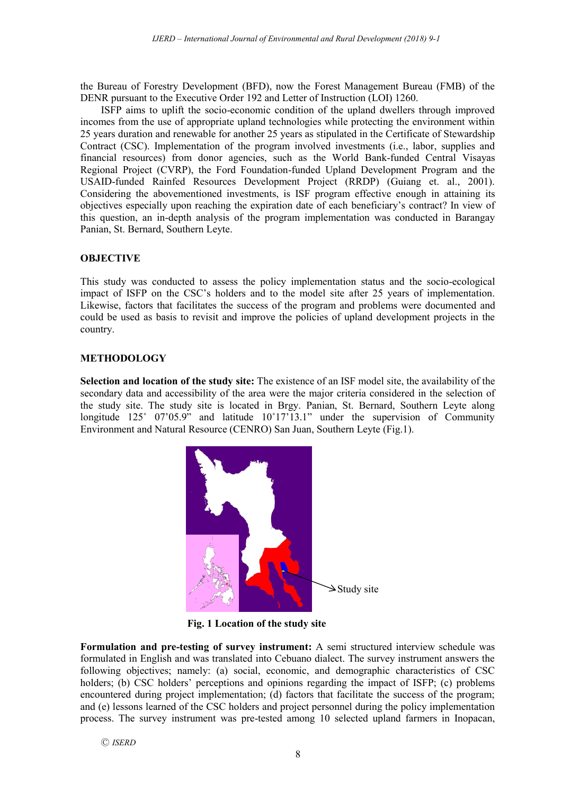the Bureau of Forestry Development (BFD), now the Forest Management Bureau (FMB) of the DENR pursuant to the Executive Order 192 and Letter of Instruction (LOI) 1260.

ISFP aims to uplift the socio-economic condition of the upland dwellers through improved incomes from the use of appropriate upland technologies while protecting the environment within 25 years duration and renewable for another 25 years as stipulated in the Certificate of Stewardship Contract (CSC). Implementation of the program involved investments (i.e., labor, supplies and financial resources) from donor agencies, such as the World Bank-funded Central Visayas Regional Project (CVRP), the Ford Foundation-funded Upland Development Program and the USAID-funded Rainfed Resources Development Project (RRDP) (Guiang et. al., 2001). Considering the abovementioned investments, is ISF program effective enough in attaining its objectives especially upon reaching the expiration date of each beneficiary's contract? In view of this question, an in-depth analysis of the program implementation was conducted in Barangay Panian, St. Bernard, Southern Leyte.

# **OBJECTIVE**

This study was conducted to assess the policy implementation status and the socio-ecological impact of ISFP on the CSC's holders and to the model site after 25 years of implementation. Likewise, factors that facilitates the success of the program and problems were documented and could be used as basis to revisit and improve the policies of upland development projects in the country.

# **METHODOLOGY**

**Selection and location of the study site:** The existence of an ISF model site, the availability of the secondary data and accessibility of the area were the major criteria considered in the selection of the study site. The study site is located in Brgy. Panian, St. Bernard, Southern Leyte along longitude 125° 07'05.9" and latitude 10°17'13.1" under the supervision of Community Environment and Natural Resource (CENRO) San Juan, Southern Leyte (Fig.1).



**Fig. 1 Location of the study site**

**Formulation and pre-testing of survey instrument:** A semi structured interview schedule was formulated in English and was translated into Cebuano dialect. The survey instrument answers the following objectives; namely: (a) social, economic, and demographic characteristics of CSC holders; (b) CSC holders' perceptions and opinions regarding the impact of ISFP; (c) problems encountered during project implementation; (d) factors that facilitate the success of the program; and (e) lessons learned of the CSC holders and project personnel during the policy implementation process. The survey instrument was pre-tested among 10 selected upland farmers in Inopacan,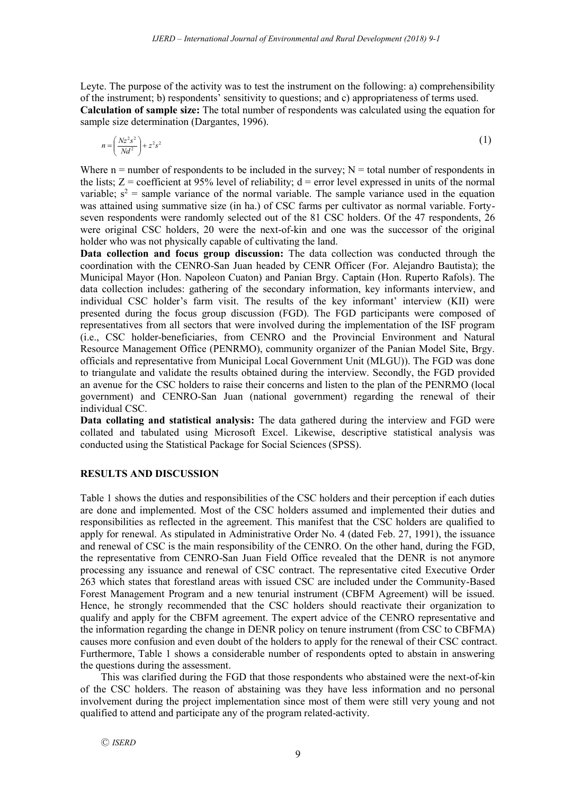Leyte. The purpose of the activity was to test the instrument on the following: a) comprehensibility of the instrument; b) respondents' sensitivity to questions; and c) appropriateness of terms used. **Calculation of sample size:** The total number of respondents was calculated using the equation for sample size determination (Dargantes, 1996).

$$
n = \left(\frac{Nz^2s^2}{Nd^2}\right) + z^2s^2\tag{1}
$$

Where  $n =$  number of respondents to be included in the survey;  $N =$  total number of respondents in the lists;  $Z =$  coefficient at 95% level of reliability;  $d =$  error level expressed in units of the normal variable;  $s^2$  = sample variance of the normal variable. The sample variance used in the equation was attained using summative size (in ha.) of CSC farms per cultivator as normal variable. Fortyseven respondents were randomly selected out of the 81 CSC holders. Of the 47 respondents, 26 were original CSC holders, 20 were the next-of-kin and one was the successor of the original holder who was not physically capable of cultivating the land.

**Data collection and focus group discussion:** The data collection was conducted through the coordination with the CENRO-San Juan headed by CENR Officer (For. Alejandro Bautista); the Municipal Mayor (Hon. Napoleon Cuaton) and Panian Brgy. Captain (Hon. Ruperto Rafols). The data collection includes: gathering of the secondary information, key informants interview, and individual CSC holder's farm visit. The results of the key informant' interview (KII) were presented during the focus group discussion (FGD). The FGD participants were composed of representatives from all sectors that were involved during the implementation of the ISF program (i.e., CSC holder-beneficiaries, from CENRO and the Provincial Environment and Natural Resource Management Office (PENRMO), community organizer of the Panian Model Site, Brgy. officials and representative from Municipal Local Government Unit (MLGU)). The FGD was done to triangulate and validate the results obtained during the interview. Secondly, the FGD provided an avenue for the CSC holders to raise their concerns and listen to the plan of the PENRMO (local government) and CENRO-San Juan (national government) regarding the renewal of their individual CSC.

**Data collating and statistical analysis:** The data gathered during the interview and FGD were collated and tabulated using Microsoft Excel. Likewise, descriptive statistical analysis was conducted using the Statistical Package for Social Sciences (SPSS).

# **RESULTS AND DISCUSSION**

Table 1 shows the duties and responsibilities of the CSC holders and their perception if each duties are done and implemented. Most of the CSC holders assumed and implemented their duties and responsibilities as reflected in the agreement. This manifest that the CSC holders are qualified to apply for renewal. As stipulated in Administrative Order No. 4 (dated Feb. 27, 1991), the issuance and renewal of CSC is the main responsibility of the CENRO. On the other hand, during the FGD, the representative from CENRO-San Juan Field Office revealed that the DENR is not anymore processing any issuance and renewal of CSC contract. The representative cited Executive Order 263 which states that forestland areas with issued CSC are included under the Community-Based Forest Management Program and a new tenurial instrument (CBFM Agreement) will be issued. Hence, he strongly recommended that the CSC holders should reactivate their organization to qualify and apply for the CBFM agreement. The expert advice of the CENRO representative and the information regarding the change in DENR policy on tenure instrument (from CSC to CBFMA) causes more confusion and even doubt of the holders to apply for the renewal of their CSC contract. Furthermore, Table 1 shows a considerable number of respondents opted to abstain in answering the questions during the assessment.

This was clarified during the FGD that those respondents who abstained were the next-of-kin of the CSC holders. The reason of abstaining was they have less information and no personal involvement during the project implementation since most of them were still very young and not qualified to attend and participate any of the program related-activity.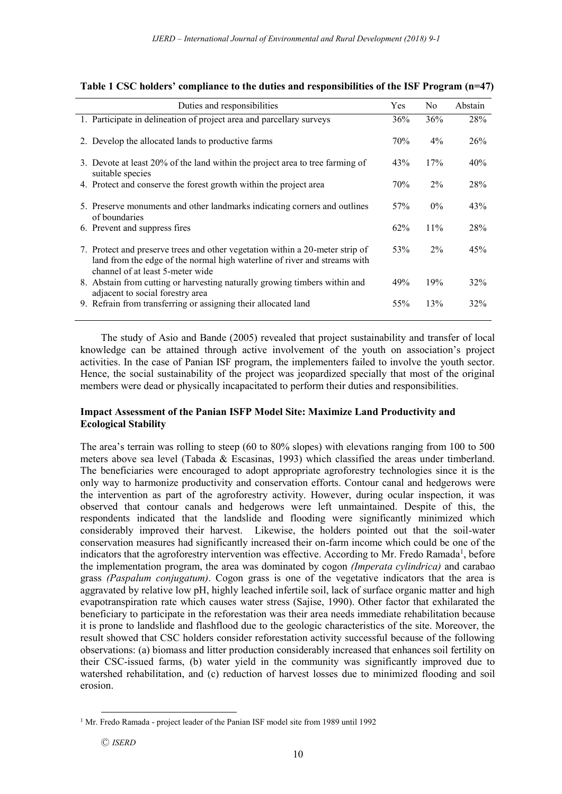| Duties and responsibilities                                                                                                                                                                    | Yes | N <sub>0</sub> | Abstain |
|------------------------------------------------------------------------------------------------------------------------------------------------------------------------------------------------|-----|----------------|---------|
| 1. Participate in delineation of project area and parcellary surveys                                                                                                                           | 36% | 36%            | 28%     |
| 2. Develop the allocated lands to productive farms                                                                                                                                             | 70% | $4\%$          | 26%     |
| 3. Devote at least 20% of the land within the project area to tree farming of<br>suitable species                                                                                              | 43% | 17%            | 40%     |
| 4. Protect and conserve the forest growth within the project area                                                                                                                              | 70% | $2\%$          | 28%     |
| 5. Preserve monuments and other landmarks indicating corners and outlines<br>of boundaries                                                                                                     | 57% | $0\%$          | 43%     |
| 6. Prevent and suppress fires                                                                                                                                                                  | 62% | 11%            | 28%     |
| 7. Protect and preserve trees and other vegetation within a 20-meter strip of<br>land from the edge of the normal high waterline of river and streams with<br>channel of at least 5-meter wide | 53% | $2\%$          | 45%     |
| 8. Abstain from cutting or harvesting naturally growing timbers within and<br>adjacent to social forestry area                                                                                 | 49% | 19%            | 32%     |
| 9. Refrain from transferring or assigning their allocated land                                                                                                                                 | 55% | 13%            | 32%     |

**Table 1 CSC holders' compliance to the duties and responsibilities of the ISF Program (n=47)**

The study of Asio and Bande (2005) revealed that project sustainability and transfer of local knowledge can be attained through active involvement of the youth on association's project activities. In the case of Panian ISF program, the implementers failed to involve the youth sector. Hence, the social sustainability of the project was jeopardized specially that most of the original members were dead or physically incapacitated to perform their duties and responsibilities.

# **Impact Assessment of the Panian ISFP Model Site: Maximize Land Productivity and Ecological Stability**

The area's terrain was rolling to steep (60 to 80% slopes) with elevations ranging from 100 to 500 meters above sea level (Tabada & Escasinas, 1993) which classified the areas under timberland. The beneficiaries were encouraged to adopt appropriate agroforestry technologies since it is the only way to harmonize productivity and conservation efforts. Contour canal and hedgerows were the intervention as part of the agroforestry activity. However, during ocular inspection, it was observed that contour canals and hedgerows were left unmaintained. Despite of this, the respondents indicated that the landslide and flooding were significantly minimized which considerably improved their harvest. Likewise, the holders pointed out that the soil-water conservation measures had significantly increased their on-farm income which could be one of the indicators that the agroforestry intervention was effective. According to Mr. Fredo Ramada<sup>1</sup>, before the implementation program, the area was dominated by cogon *(Imperata cylindrica)* and carabao grass *(Paspalum conjugatum)*. Cogon grass is one of the vegetative indicators that the area is aggravated by relative low pH, highly leached infertile soil, lack of surface organic matter and high evapotranspiration rate which causes water stress (Sajise, 1990). Other factor that exhilarated the beneficiary to participate in the reforestation was their area needs immediate rehabilitation because it is prone to landslide and flashflood due to the geologic characteristics of the site. Moreover, the result showed that CSC holders consider reforestation activity successful because of the following observations: (a) biomass and litter production considerably increased that enhances soil fertility on their CSC-issued farms, (b) water yield in the community was significantly improved due to watershed rehabilitation, and (c) reduction of harvest losses due to minimized flooding and soil erosion.

 $\overline{\phantom{a}}$ 

<sup>&</sup>lt;sup>1</sup> Mr. Fredo Ramada - project leader of the Panian ISF model site from 1989 until 1992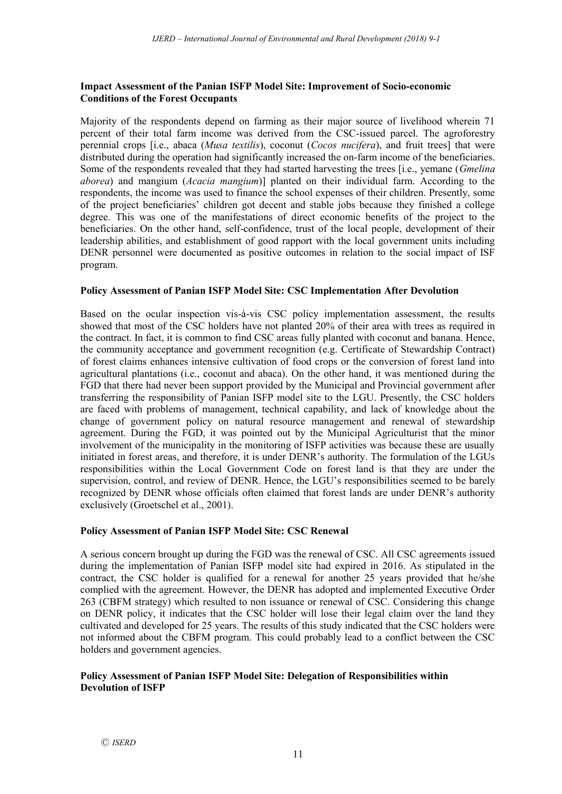# **Impact Assessment of the Panian ISFP Model Site: Improvement of Socio-economic Conditions of the Forest Occupants**

Majority of the respondents depend on farming as their major source of livelihood wherein 71 percent of their total farm income was derived from the CSC-issued parcel. The agroforestry perennial crops [i.e., abaca (*Musa textilis*), coconut (*Cocos nucifera*), and fruit trees] that were distributed during the operation had significantly increased the on-farm income of the beneficiaries. Some of the respondents revealed that they had started harvesting the trees [i.e., yemane (*Gmelina aborea*) and mangium (*Acacia mangium*)] planted on their individual farm. According to the respondents, the income was used to finance the school expenses of their children. Presently, some of the project beneficiaries' children got decent and stable jobs because they finished a college degree. This was one of the manifestations of direct economic benefits of the project to the beneficiaries. On the other hand, self-confidence, trust of the local people, development of their leadership abilities, and establishment of good rapport with the local government units including DENR personnel were documented as positive outcomes in relation to the social impact of ISF program.

# **Policy Assessment of Panian ISFP Model Site: CSC Implementation After Devolution**

Based on the ocular inspection vis-à-vis CSC policy implementation assessment, the results showed that most of the CSC holders have not planted 20% of their area with trees as required in the contract. In fact, it is common to find CSC areas fully planted with coconut and banana. Hence, the community acceptance and government recognition (e.g. Certificate of Stewardship Contract) of forest claims enhances intensive cultivation of food crops or the conversion of forest land into agricultural plantations (i.e., coconut and abaca). On the other hand, it was mentioned during the FGD that there had never been support provided by the Municipal and Provincial government after transferring the responsibility of Panian ISFP model site to the LGU. Presently, the CSC holders are faced with problems of management, technical capability, and lack of knowledge about the change of government policy on natural resource management and renewal of stewardship agreement. During the FGD, it was pointed out by the Municipal Agriculturist that the minor involvement of the municipality in the monitoring of ISFP activities was because these are usually initiated in forest areas, and therefore, it is under DENR's authority. The formulation of the LGUs responsibilities within the Local Government Code on forest land is that they are under the supervision, control, and review of DENR. Hence, the LGU's responsibilities seemed to be barely recognized by DENR whose officials often claimed that forest lands are under DENR's authority exclusively (Groetschel et al., 2001).

# **Policy Assessment of Panian ISFP Model Site: CSC Renewal**

A serious concern brought up during the FGD was the renewal of CSC. All CSC agreements issued during the implementation of Panian ISFP model site had expired in 2016. As stipulated in the contract, the CSC holder is qualified for a renewal for another 25 years provided that he/she complied with the agreement. However, the DENR has adopted and implemented Executive Order 263 (CBFM strategy) which resulted to non issuance or renewal of CSC. Considering this change on DENR policy, it indicates that the CSC holder will lose their legal claim over the land they cultivated and developed for 25 years. The results of this study indicated that the CSC holders were not informed about the CBFM program. This could probably lead to a conflict between the CSC holders and government agencies.

# **Policy Assessment of Panian ISFP Model Site: Delegation of Responsibilities within Devolution of ISFP**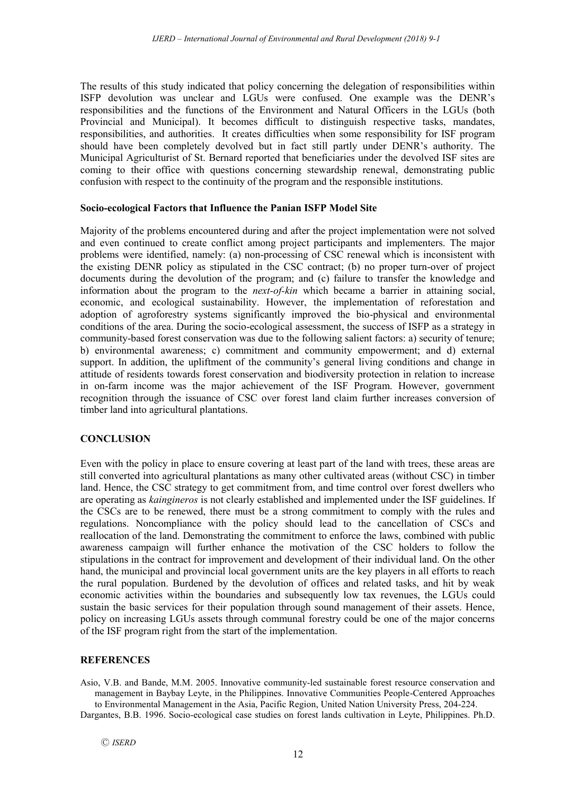The results of this study indicated that policy concerning the delegation of responsibilities within ISFP devolution was unclear and LGUs were confused. One example was the DENR's responsibilities and the functions of the Environment and Natural Officers in the LGUs (both Provincial and Municipal). It becomes difficult to distinguish respective tasks, mandates, responsibilities, and authorities. It creates difficulties when some responsibility for ISF program should have been completely devolved but in fact still partly under DENR's authority. The Municipal Agriculturist of St. Bernard reported that beneficiaries under the devolved ISF sites are coming to their office with questions concerning stewardship renewal, demonstrating public confusion with respect to the continuity of the program and the responsible institutions.

# **Socio-ecological Factors that Influence the Panian ISFP Model Site**

Majority of the problems encountered during and after the project implementation were not solved and even continued to create conflict among project participants and implementers. The major problems were identified, namely: (a) non-processing of CSC renewal which is inconsistent with the existing DENR policy as stipulated in the CSC contract; (b) no proper turn-over of project documents during the devolution of the program; and (c) failure to transfer the knowledge and information about the program to the *next-of-kin* which became a barrier in attaining social, economic, and ecological sustainability. However, the implementation of reforestation and adoption of agroforestry systems significantly improved the bio-physical and environmental conditions of the area. During the socio-ecological assessment, the success of ISFP as a strategy in community-based forest conservation was due to the following salient factors: a) security of tenure; b) environmental awareness; c) commitment and community empowerment; and d) external support. In addition, the upliftment of the community's general living conditions and change in attitude of residents towards forest conservation and biodiversity protection in relation to increase in on-farm income was the major achievement of the ISF Program. However, government recognition through the issuance of CSC over forest land claim further increases conversion of timber land into agricultural plantations.

# **CONCLUSION**

Even with the policy in place to ensure covering at least part of the land with trees, these areas are still converted into agricultural plantations as many other cultivated areas (without CSC) in timber land. Hence, the CSC strategy to get commitment from, and time control over forest dwellers who are operating as *kaingineros* is not clearly established and implemented under the ISF guidelines. If the CSCs are to be renewed, there must be a strong commitment to comply with the rules and regulations. Noncompliance with the policy should lead to the cancellation of CSCs and reallocation of the land. Demonstrating the commitment to enforce the laws, combined with public awareness campaign will further enhance the motivation of the CSC holders to follow the stipulations in the contract for improvement and development of their individual land. On the other hand, the municipal and provincial local government units are the key players in all efforts to reach the rural population. Burdened by the devolution of offices and related tasks, and hit by weak economic activities within the boundaries and subsequently low tax revenues, the LGUs could sustain the basic services for their population through sound management of their assets. Hence, policy on increasing LGUs assets through communal forestry could be one of the major concerns of the ISF program right from the start of the implementation.

# **REFERENCES**

Asio, V.B. and Bande, M.M. 2005. Innovative community-led sustainable forest resource conservation and management in Baybay Leyte, in the Philippines. Innovative Communities People-Centered Approaches to Environmental Management in the Asia, Pacific Region, United Nation University Press, 204-224.

Dargantes, B.B. 1996. Socio-ecological case studies on forest lands cultivation in Leyte, Philippines. Ph.D.